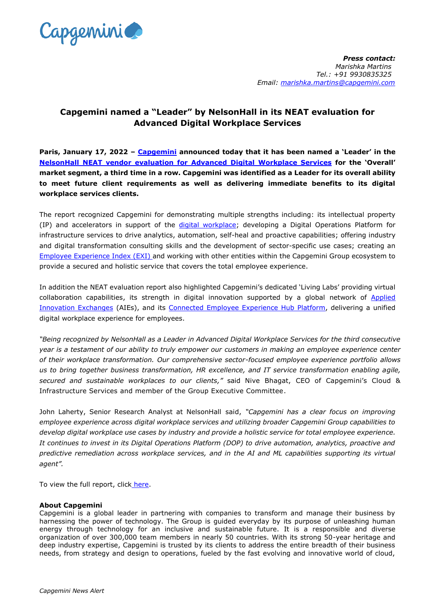

## **Capgemini named a "Leader" by NelsonHall in its NEAT evaluation for Advanced Digital Workplace Services**

**Paris, January 17, 2022 – [Capgemini](https://www.capgemini.com/) announced today that it has been named a 'Leader' in the NelsonHall NEAT vendor [evaluation for Advanced Digital Workplace Services](https://www.capgemini.com/resources/capgemini-named-a-leader-by-nelsonhall-for-advanced-digital-workplace-services-3/) for the 'Overall' market segment, a third time in a row. Capgemini was identified as a Leader for its overall ability to meet future client requirements as well as delivering immediate benefits to its digital workplace services clients.**

The report recognized Capgemini for demonstrating multiple strengths including: its intellectual property (IP) and accelerators in support of the [digital workplace;](https://www.capgemini.com/service/technology-operations/infrastructure-services/connected-employee-experience/) developing a Digital Operations Platform for infrastructure services to drive analytics, automation, self-heal and proactive capabilities; offering industry and digital transformation consulting skills and the development of sector-specific use cases; creating an Employee [Experience Index \(EXI\)](https://www.capgemini.com/service/technology-operations/infrastructure-services/connected-employee/) and working with other entities within the Capgemini Group ecosystem to provide a secured and holistic service that covers the total employee experience.

In addition the NEAT evaluation report also highlighted Capgemini's dedicated 'Living Labs' providing virtual collaboration capabilities, its strength in digital innovation supported by a global network of **Applied** [Innovation Exchanges](https://www.capgemini.com/service/applied-innovation-exchange/) (AIEs), and its [Connected Employee Experience Hub Platform,](https://www.capgemini.com/service/technology-operations/infrastructure-services/connected-office/) delivering a unified digital workplace experience for employees.

*"Being recognized by NelsonHall as a Leader in Advanced Digital Workplace Services for the third consecutive year is a testament of our ability to truly empower our customers in making an employee experience center of their workplace transformation. Our comprehensive sector-focused employee experience portfolio allows us to bring together business transformation, HR excellence, and IT service transformation enabling agile, secured and sustainable workplaces to our clients,"* said Nive Bhagat, CEO of Capgemini's Cloud & Infrastructure Services and member of the Group Executive Committee.

John Laherty, Senior Research Analyst at NelsonHall said, *"Capgemini has a clear focus on improving employee experience across digital workplace services and utilizing broader Capgemini Group capabilities to develop digital workplace use cases by industry and provide a holistic service for total employee experience. It continues to invest in its Digital Operations Platform (DOP) to drive automation, analytics, proactive and predictive remediation across workplace services, and in the AI and ML capabilities supporting its virtual agent".* 

To view the full report, click [here.](https://www.capgemini.com/resources/capgemini-named-a-leader-by-nelsonhall-for-advanced-digital-workplace-services-3/)

## **About Capgemini**

Capgemini is a global leader in partnering with companies to transform and manage their business by harnessing the power of technology. The Group is guided everyday by its purpose of unleashing human energy through technology for an inclusive and sustainable future. It is a responsible and diverse organization of over 300,000 team members in nearly 50 countries. With its strong 50-year heritage and deep industry expertise, Capgemini is trusted by its clients to address the entire breadth of their business needs, from strategy and design to operations, fueled by the fast evolving and innovative world of cloud,